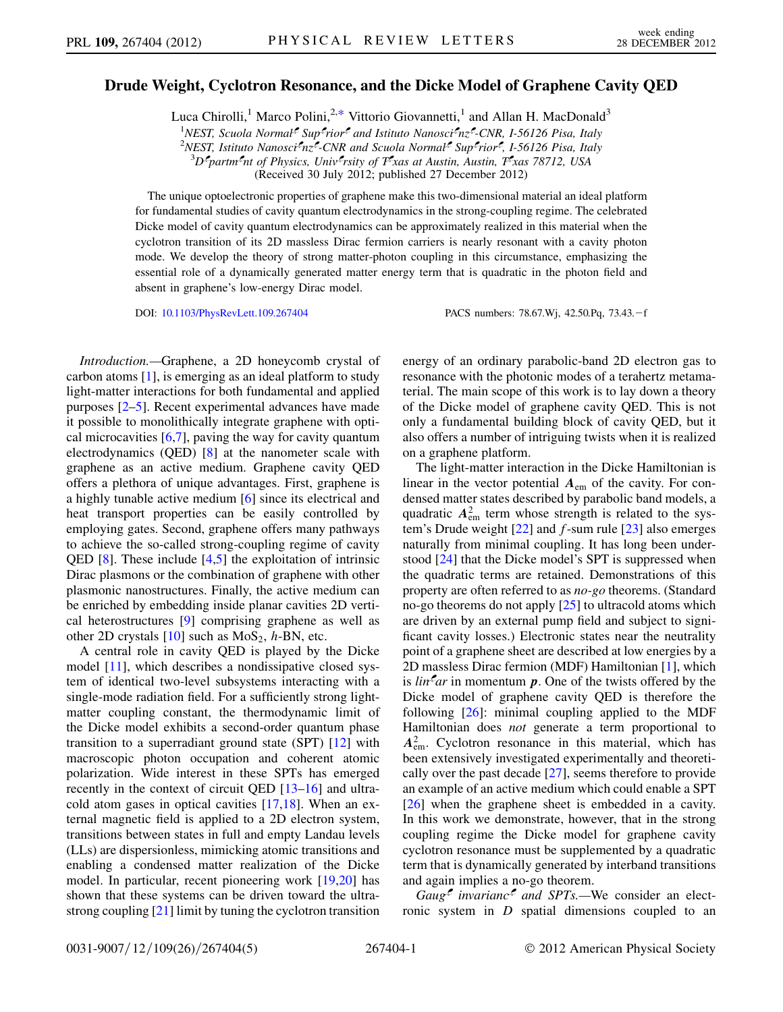## <span id="page-0-0"></span>Drude Weight, Cyclotron Resonance, and the Dicke Model of Graphene Cavity QED

Luca Chirolli,<sup>1</sup> Marco Polini,<sup>2[,\\*](#page-4-0)</sup> Vittorio Giovannetti,<sup>1</sup> and Allan H. MacDonald<sup>3</sup>

<sup>1</sup>NEST, Scuola Normal<sup>e</sup> Sup<sup>e</sup>rior<sup>e</sup> and Istituto Nanosci<sup>e</sup>nz<sup>e</sup>-CNR, I-56126 Pisa, Italy

<sup>2</sup>NEST, Istituto Nanosci<sup>e</sup>nz<sup>e</sup>-CNR and Scuola Normal<sup>e</sup> Sup<sup>e</sup>rior<sup>e</sup>, I-56126 Pisa, Italy

<sup>3</sup>D<sup>e</sup>partm<sup>e</sup>nt of Physics, Univ<sup>e</sup>rsity of T<sup>e</sup>xas at Austin, Austin, T<sup>e</sup>xas 78712, USA

(Received 30 July 2012; published 27 December 2012)

The unique optoelectronic properties of graphene make this two-dimensional material an ideal platform for fundamental studies of cavity quantum electrodynamics in the strong-coupling regime. The celebrated Dicke model of cavity quantum electrodynamics can be approximately realized in this material when the cyclotron transition of its 2D massless Dirac fermion carriers is nearly resonant with a cavity photon mode. We develop the theory of strong matter-photon coupling in this circumstance, emphasizing the essential role of a dynamically generated matter energy term that is quadratic in the photon field and absent in graphene's low-energy Dirac model.

DOI: [10.1103/PhysRevLett.109.267404](http://dx.doi.org/10.1103/PhysRevLett.109.267404) PACS numbers: 78.67.Wj, 42.50.Pq, 73.43. - f

Introduction.—Graphene, a 2D honeycomb crystal of carbon atoms [[1](#page-4-1)], is emerging as an ideal platform to study light-matter interactions for both fundamental and applied purposes [[2–](#page-4-2)[5](#page-4-3)]. Recent experimental advances have made it possible to monolithically integrate graphene with optical microcavities  $[6,7]$  $[6,7]$  $[6,7]$ , paving the way for cavity quantum electrodynamics (QED) [[8\]](#page-4-6) at the nanometer scale with graphene as an active medium. Graphene cavity QED offers a plethora of unique advantages. First, graphene is a highly tunable active medium [[6\]](#page-4-4) since its electrical and heat transport properties can be easily controlled by employing gates. Second, graphene offers many pathways to achieve the so-called strong-coupling regime of cavity QED  $[8]$  $[8]$ . These include  $[4,5]$  $[4,5]$  $[4,5]$  $[4,5]$  the exploitation of intrinsic Dirac plasmons or the combination of graphene with other plasmonic nanostructures. Finally, the active medium can be enriched by embedding inside planar cavities 2D vertical heterostructures [[9](#page-4-8)] comprising graphene as well as other 2D crystals  $[10]$  $[10]$  $[10]$  such as  $MoS<sub>2</sub>$ , h-BN, etc.

A central role in cavity QED is played by the Dicke model [\[11\]](#page-4-10), which describes a nondissipative closed system of identical two-level subsystems interacting with a single-mode radiation field. For a sufficiently strong lightmatter coupling constant, the thermodynamic limit of the Dicke model exhibits a second-order quantum phase transition to a superradiant ground state (SPT) [[12](#page-4-11)] with macroscopic photon occupation and coherent atomic polarization. Wide interest in these SPTs has emerged recently in the context of circuit QED [[13](#page-4-12)[–16\]](#page-4-13) and ultracold atom gases in optical cavities [\[17,](#page-4-14)[18\]](#page-4-15). When an external magnetic field is applied to a 2D electron system, transitions between states in full and empty Landau levels (LLs) are dispersionless, mimicking atomic transitions and enabling a condensed matter realization of the Dicke model. In particular, recent pioneering work [\[19](#page-4-16)[,20\]](#page-4-17) has shown that these systems can be driven toward the ultrastrong coupling [\[21\]](#page-4-18) limit by tuning the cyclotron transition energy of an ordinary parabolic-band 2D electron gas to resonance with the photonic modes of a terahertz metamaterial. The main scope of this work is to lay down a theory of the Dicke model of graphene cavity QED. This is not only a fundamental building block of cavity QED, but it also offers a number of intriguing twists when it is realized on a graphene platform.

The light-matter interaction in the Dicke Hamiltonian is linear in the vector potential  $A_{em}$  of the cavity. For condensed matter states described by parabolic band models, a quadratic  $A_{\text{em}}^2$  term whose strength is related to the system's Drude weight  $[22]$  and f-sum rule  $[23]$  also emerges naturally from minimal coupling. It has long been understood [[24](#page-4-21)] that the Dicke model's SPT is suppressed when the quadratic terms are retained. Demonstrations of this property are often referred to as no-go theorems. (Standard no-go theorems do not apply [\[25\]](#page-4-22) to ultracold atoms which are driven by an external pump field and subject to significant cavity losses.) Electronic states near the neutrality point of a graphene sheet are described at low energies by a 2D massless Dirac fermion (MDF) Hamiltonian [[1\]](#page-4-1), which is  $\lim^e ar$  in momentum **p**. One of the twists offered by the Dicke model of graphene cavity QED is therefore the following  $[26]$ : minimal coupling applied to the MDF Hamiltonian does not generate a term proportional to  $A<sub>em</sub><sup>2</sup>$ . Cyclotron resonance in this material, which has been extensively investigated experimentally and theoretically over the past decade [\[27\]](#page-4-24), seems therefore to provide an example of an active medium which could enable a SPT [\[26\]](#page-4-23) when the graphene sheet is embedded in a cavity. In this work we demonstrate, however, that in the strong coupling regime the Dicke model for graphene cavity cyclotron resonance must be supplemented by a quadratic term that is dynamically generated by interband transitions and again implies a no-go theorem.

 $Gauge<sup>g</sup> invariance<sup>g</sup> and *SPTs*$ . We consider an electronic system in D spatial dimensions coupled to an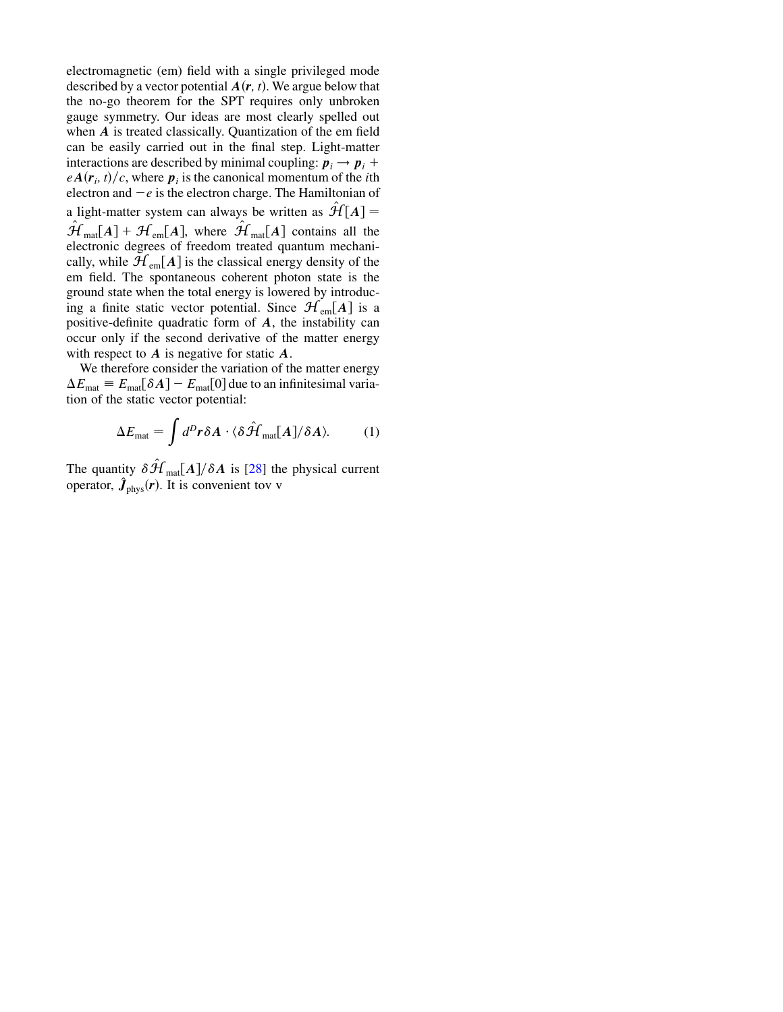electromagnetic (em) field with a single privileged mode described by a vector potential  $A(r, t)$ . We argue below that the no-go theorem for the SPT requires only unbroken gauge symmetry. Our ideas are most clearly spelled out when A is treated classically. Quantization of the em field can be easily carried out in the final step. Light-matter interactions are described by minimal coupling:  $p_i \rightarrow p_i + p_i$  $eA(\mathbf{r}_i, t)/c$ , where  $\mathbf{p}_i$  is the canonical momentum of the *i*th electron and  $-e$  is the electron charge. The Hamiltonian of a light-matter system can always be written as  $\hat{H}[A]$  =  $\hat{\mathcal{H}}_{\text{mat}}[A] + \mathcal{H}_{\text{em}}[A]$ , where  $\hat{\mathcal{H}}_{\text{mat}}[A]$  contains all the<br>electronic degrees of freedom treated quantum mechanielectronic degrees of freedom treated quantum mechanically, while  $\mathcal{H}_{em}[A]$  is the classical energy density of the energy density of the spontaneous coherent photon state is the em field. The spontaneous coherent photon state is the ground state when the total energy is lowered by introducing a finite static vector potential. Since  $\mathcal{H}_{em}[A]$  is a nositive-definite quadratic form of A the instability can positive-definite quadratic form of A, the instability can occur only if the second derivative of the matter energy with respect to A is negative for static A.

We therefore consider the variation of the matter energy  $\Delta E_{\text{mat}} \equiv E_{\text{mat}}[\delta A] - E_{\text{mat}}[0]$  due to an infinitesimal varia-<br>tion of the static vector notential: tion of the static vector potential:

<span id="page-1-1"></span><span id="page-1-0"></span>
$$
\Delta E_{\text{mat}} = \int d^D \boldsymbol{r} \delta \boldsymbol{A} \cdot \langle \delta \hat{\mathcal{H}}_{\text{mat}}[\boldsymbol{A}] / \delta \boldsymbol{A} \rangle. \tag{1}
$$

The quantity  $\delta \hat{\mathcal{H}}_{\text{mat}}[A]/\delta A$  is [[28](#page-4-25)] the physical current<br>operator  $\hat{I}$ . (r) It is convenient tow operator,  $\hat{\mathbf{J}}_{\text{phys}}(\mathbf{r})$ . It is convenient tovv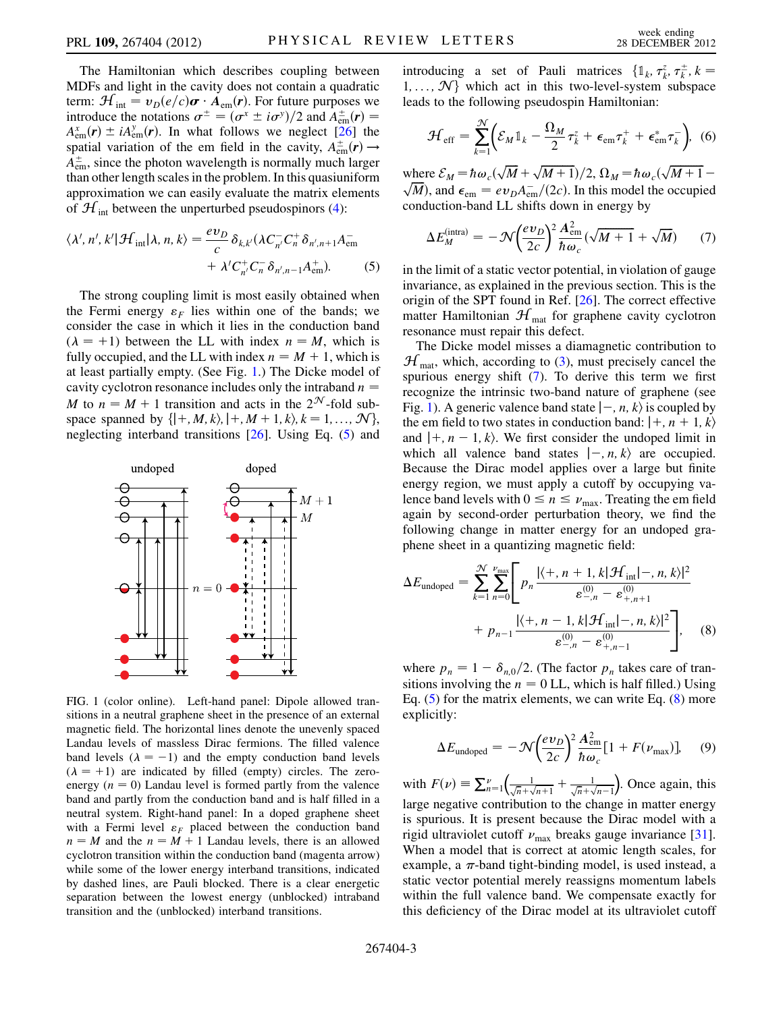The Hamiltonian which describes coupling between MDFs and light in the cavity does not contain a quadratic term:  $\mathcal{H}_{\text{int}} = v_D(e/c)\boldsymbol{\sigma} \cdot \boldsymbol{A}_{\text{em}}(\boldsymbol{r})$ . For future purposes we introduce the notations  $\sigma^{\pm} = (\sigma^x \pm i\sigma^y)/2$  and  $A_{\text{em}}^{\pm}(\mathbf{r}) = A^x(\mathbf{r}) + iA^y(\mathbf{r})$ . In what follows we neglect  $[26]$  the  $A_{em}^{x}(\boldsymbol{r}) \pm iA_{em}^{y}(\boldsymbol{r})$ . In what follows we neglect [[26](#page-4-23)] the spatial variation of the em field in the cavity  $A^{\pm}(\boldsymbol{r}) \rightarrow$ spatial variation of the em field in the cavity,  $A_{\text{em}}^{\pm}(\mathbf{r}) \rightarrow A^{\pm}$  since the photon wavelength is normally much larger  $A_{em}^{\pm}$ , since the photon wavelength is normally much larger than other length scales in the problem. In this quasiuniform approximation we can easily evaluate the matrix elements of  $\mathcal{H}_{\text{int}}$  between the unperturbed pseudospinors [\(4\)](#page-1-0):

<span id="page-2-1"></span>
$$
\langle \lambda', n', k' | \mathcal{H}_{int} | \lambda, n, k \rangle = \frac{e v_D}{c} \delta_{k,k'} (\lambda C_{n'}^- C_n^+ \delta_{n',n+1} A_{em}^- + \lambda' C_{n'}^+ C_n^- \delta_{n',n-1} A_{em}^+).
$$
 (5)

The strong coupling limit is most easily obtained when the Fermi energy  $\varepsilon_F$  lies within one of the bands; we consider the case in which it lies in the conduction band  $(\lambda = +1)$  between the LL with index  $n = M$ , which is fully occupied, and the LL with index  $n = M + 1$ , which is at least partially empty. (See Fig. [1.](#page-2-0)) The Dicke model of cavity cyclotron resonance includes only the intraband  $n =$ M to  $n = M + 1$  transition and acts in the  $2^{\mathcal{N}}$ -fold subspace spanned by  $\{ \vert +, M, k \rangle, \vert +, M + 1, k \rangle, k = 1, \ldots, \mathcal{N} \},\$ neglecting interband transitions [[26](#page-4-23)]. Using Eq. ([5\)](#page-2-1) and

<span id="page-2-0"></span>

FIG. 1 (color online). Left-hand panel: Dipole allowed transitions in a neutral graphene sheet in the presence of an external magnetic field. The horizontal lines denote the unevenly spaced Landau levels of massless Dirac fermions. The filled valence band levels  $(\lambda = -1)$  and the empty conduction band levels  $(\lambda = +1)$  are indicated by filled (empty) circles. The zeroenergy  $(n = 0)$  Landau level is formed partly from the valence band and partly from the conduction band and is half filled in a neutral system. Right-hand panel: In a doped graphene sheet with a Fermi level  $\varepsilon_F$  placed between the conduction band  $n = M$  and the  $n = M + 1$  Landau levels, there is an allowed cyclotron transition within the conduction band (magenta arrow) while some of the lower energy interband transitions, indicated by dashed lines, are Pauli blocked. There is a clear energetic separation between the lowest energy (unblocked) intraband transition and the (unblocked) interband transitions.

introducing a set of Pauli matrices  $\{\mathbb{1}_k, \tau_k^z, \tau_k^{\pm}, k = 1, \dots, N\}$  which act in this two-level-system subspace  $1, \ldots, \mathcal{N}$  which act in this two-level-system subspace leads to the following pseudospin Hamiltonian:

<span id="page-2-5"></span>
$$
\mathcal{H}_{\rm eff} = \sum_{k=1}^{\mathcal{N}} \left( \mathcal{E}_M \mathbb{1}_k - \frac{\Omega_M}{2} \tau_k^z + \epsilon_{\rm em} \tau_k^+ + \epsilon_{\rm em}^* \tau_k^- \right), \tag{6}
$$

where  $\mathcal{E}_M = \hbar \omega_c (\sqrt{M} + \sqrt{M+1})/2$ ,  $\Omega_M = \hbar \omega_c (\sqrt{M+1} - \sqrt{M})$ , and  $\epsilon_{cm} = e \nu_p A_m^-(2c)$ . In this model the occupied  $\sqrt{M}$ ), and  $\epsilon_{em} = ev_D A_{em}^{-1} / (2c)$ . In this model the occupied conduction-band I I shifts down in energy by conduction-band LL shifts down in energy by

<span id="page-2-2"></span>
$$
\Delta E_M^{\text{(intra)}} = -\mathcal{N}\left(\frac{e\upsilon_D}{2c}\right)^2 \frac{A_{\text{em}}^2}{\hbar \omega_c} (\sqrt{M+1} + \sqrt{M}) \tag{7}
$$

in the limit of a static vector potential, in violation of gauge invariance, as explained in the previous section. This is the origin of the SPT found in Ref. [\[26\]](#page-4-23). The correct effective matter Hamiltonian  $\mathcal{H}_{\text{mat}}$  for graphene cavity cyclotron resonance must repair this defect.

The Dicke model misses a diamagnetic contribution to  $\mathcal{H}_{\text{mat}}$ , which, according to [\(3](#page-1-1)), must precisely cancel the spurious energy shift  $(7)$  $(7)$  $(7)$ . To derive this term we first recognize the intrinsic two-band nature of graphene (see Fig. [1\)](#page-2-0). A generic valence band state  $\vert -, n, k \rangle$  is coupled by the em field to two states in conduction band:  $|+, n + 1, k\rangle$ and  $|+, n - 1, k\rangle$ . We first consider the undoped limit in which all valence band states  $|-, n, k\rangle$  are occupied. Because the Dirac model applies over a large but finite energy region, we must apply a cutoff by occupying valence band levels with  $0 \le n \le \nu_{\text{max}}$ . Treating the em field again by second-order perturbation theory, we find the following change in matter energy for an undoped graphene sheet in a quantizing magnetic field:

<span id="page-2-3"></span>
$$
\Delta E_{\text{undoped}} = \sum_{k=1}^{\mathcal{N}} \sum_{n=0}^{v_{\text{max}}} \left[ p_n \frac{|\langle +, n+1, k | \mathcal{H}_{\text{int}} | -, n, k \rangle|^2}{\varepsilon_{-,n}^{(0)} - \varepsilon_{+,n+1}^{(0)}} + p_{n-1} \frac{|\langle +, n-1, k | \mathcal{H}_{\text{int}} | -, n, k \rangle|^2}{\varepsilon_{-,n}^{(0)} - \varepsilon_{+,n-1}^{(0)}} \right], \quad (8)
$$

where  $p_n = 1 - \delta_{n,0}/2$ . (The factor  $p_n$  takes care of transitions involving the  $n = 0$  LL, which is half filled.) Using Eq.  $(5)$  for the matrix elements, we can write Eq.  $(8)$  $(8)$  more explicitly:

<span id="page-2-4"></span>
$$
\Delta E_{\text{undoped}} = -\mathcal{N}\left(\frac{ev_D}{2c}\right)^2 \frac{A_{\text{em}}^2}{\hbar \omega_c} [1 + F(\nu_{\text{max}})], \quad (9)
$$

with  $F(v) = \sum_{n=1}^{v} \left( \frac{1}{\sqrt{n} + \sqrt{n+1}} + \frac{1}{\sqrt{n} + \sqrt{n-1}} \right)$  . Once again, this large negative contribution to the change in matter energy is spurious. It is present because the Dirac model with a rigid ultraviolet cutoff  $\nu_{\text{max}}$  breaks gauge invariance [[31\]](#page-4-26). When a model that is correct at atomic length scales, for example, a  $\pi$ -band tight-binding model, is used instead, a static vector potential merely reassigns momentum labels within the full valence band. We compensate exactly for this deficiency of the Dirac model at its ultraviolet cutoff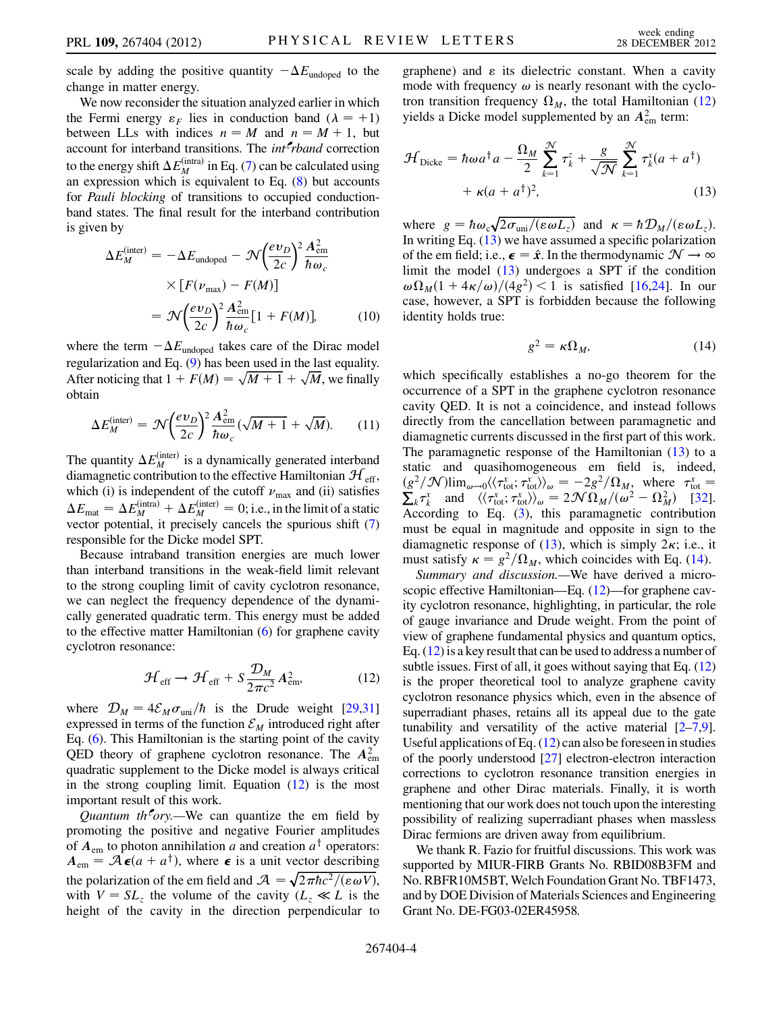scale by adding the positive quantity  $-\Delta E_{\text{undoped}}$  to the change in matter energy.

We now reconsider the situation analyzed earlier in which the Fermi energy  $\varepsilon_F$  lies in conduction band  $(\lambda = +1)$ between LLs with indices  $n = M$  and  $n = M + 1$ , but account for interband transitions. The interband correction to the energy shift  $\Delta E_M^{\text{(intra)}}$  in Eq. [\(7](#page-2-2)) can be calculated using an expression which is equivalent to Eq. ([8\)](#page-2-3) but accounts for Pauli blocking of transitions to occupied conductionband states. The final result for the interband contribution is given by

$$
\Delta E_M^{\text{(inter)}} = -\Delta E_{\text{undoped}} - \mathcal{N} \left(\frac{e v_D}{2c}\right)^2 \frac{A_{\text{em}}^2}{\hbar \omega_c}
$$

$$
\times \left[F(\nu_{\text{max}}) - F(M)\right]
$$

$$
= \mathcal{N} \left(\frac{e v_D}{2c}\right)^2 \frac{A_{\text{em}}^2}{\hbar \omega_c} [1 + F(M)], \qquad (10)
$$

where the term  $-\Delta E_{\text{undoped}}$  takes care of the Dirac model regularization and Eq. ([9\)](#page-2-4) has been used in the last equality. After noticing that  $1 + F(M) = \sqrt{M+1} + \sqrt{M}$ , we finally obtain obtain

$$
\Delta E_M^{\text{(inter)}} = \mathcal{N} \left(\frac{e v_D}{2c}\right)^2 \frac{A_{\text{em}}^2}{\hbar \omega_c} (\sqrt{M+1} + \sqrt{M}).\tag{11}
$$

The quantity  $\Delta E_M^{\text{(inter)}}$  is a dynamically generated interband diamagnetic contribution to the effective Hamiltonian  $\mathcal{H}_{\text{eff}}$ , which (i) is independent of the cutoff  $\nu_{\text{max}}$  and (ii) satisfies  $\Delta E_{\text{mat}} = \Delta E_M^{\text{(intra)}} + \Delta E_M^{\text{(inter)}} = 0$ ; i.e., in the limit of a static<br>vector potential, it precisely cancels the spurious shift (7) vector potential, it precisely cancels the spurious shift [\(7\)](#page-2-2) responsible for the Dicke model SPT.

Because intraband transition energies are much lower than interband transitions in the weak-field limit relevant to the strong coupling limit of cavity cyclotron resonance, we can neglect the frequency dependence of the dynamically generated quadratic term. This energy must be added to the effective matter Hamiltonian ([6\)](#page-2-5) for graphene cavity cyclotron resonance:

$$
\mathcal{H}_{\text{eff}} \to \mathcal{H}_{\text{eff}} + S \frac{\mathcal{D}_M}{2\pi c^2} A_{\text{em}}^2,\tag{12}
$$

<span id="page-3-0"></span>where  $\mathcal{D}_M = 4\mathcal{E}_M \sigma_{\text{uni}}/\hbar$  is the Drude weight [[29](#page-4-27)[,31\]](#page-4-26) expressed in terms of the function  $\mathcal{E}_M$  introduced right after Eq. [\(6](#page-2-5)). This Hamiltonian is the starting point of the cavity QED theory of graphene cyclotron resonance. The  $A_{\text{em}}^2$ quadratic supplement to the Dicke model is always critical in the strong coupling limit. Equation [\(12](#page-3-0)) is the most important result of this work.

*Quantum thory*.—We can quantize the em field by promoting the positive and negative Fourier amplitudes of  $A_{\text{em}}$  to photon annihilation a and creation  $a^{\dagger}$  operators:  $A_{em} = \mathcal{A} \epsilon (a + a^{\dagger})$ , where  $\epsilon$  is a unit vector describing<br>the asterior of the surfield and  $\mathcal{A} = \sqrt{2 + \frac{2}{2} + \frac{2}{2}}$ the polarization of the em field and  $\mathcal{A} = \sqrt{2\pi\hbar c^2/(\epsilon\omega V)}$ ,<br>with  $V = SI$ , the volume of the cavity  $(L \ll L)$  is the with  $V = SL_z$  the volume of the cavity  $(L_z \ll L$  is the height of the cavity in the direction perpendicular to height of the cavity in the direction perpendicular to graphene) and  $\varepsilon$  its dielectric constant. When a cavity mode with frequency  $\omega$  is nearly resonant with the cyclotron transition frequency  $\Omega_M$ , the total Hamiltonian [\(12\)](#page-3-0) yields a Dicke model supplemented by an  $A_{\text{em}}^2$  term:

<span id="page-3-1"></span>
$$
\mathcal{H}_{\text{Dicke}} = \hbar \omega a^{\dagger} a - \frac{\Omega_M}{2} \sum_{k=1}^{\mathcal{N}} \tau_k^z + \frac{g}{\sqrt{\mathcal{N}}} \sum_{k=1}^{\mathcal{N}} \tau_k^x (a + a^{\dagger}) + \kappa (a + a^{\dagger})^2, \tag{13}
$$

where  $g = \hbar \omega_c \sqrt{2\sigma_{\text{uni}}/(\epsilon \omega L_z)}$  and  $\kappa = \hbar \mathcal{D}_M/(\epsilon \omega L_z)$ .<br>In writing Eq. (13) we have assumed a specific polarization In writing Eq.  $(13)$  we have assumed a specific polarization of the em field; i.e.,  $\epsilon = \hat{x}$ . In the thermodynamic  $\mathcal{N} \rightarrow \infty$ <br>limit the model (13) undergoes a SPT if the condition limit the model [\(13\)](#page-3-1) undergoes a SPT if the condition  $\omega \Omega_M (1 + 4\kappa/\omega)/(4g^2) < 1$  is satisfied [[16](#page-4-13),[24](#page-4-21)]. In our case however a SPT is forbidden because the following case, however, a SPT is forbidden because the following identity holds true:

$$
g^2 = \kappa \Omega_M, \tag{14}
$$

<span id="page-3-2"></span>which specifically establishes a no-go theorem for the occurrence of a SPT in the graphene cyclotron resonance cavity QED. It is not a coincidence, and instead follows directly from the cancellation between paramagnetic and diamagnetic currents discussed in the first part of this work. The paramagnetic response of the Hamiltonian [\(13\)](#page-3-1) to a static and quasihomogeneous em field is, indeed,  $(g^2/\mathcal{N})$ lim<sub> $\omega \to 0$ </sub> $\langle \langle \tau_{\text{tot}}^x; \tau_{\text{tot}}^x \rangle \rangle_{\omega} = -2g^2/\Omega_M$ , where  $\tau_{\text{tot}}^x = \sum_k \tau_k^x$  and  $\langle \langle \tau_{\text{tot}}^x; \tau_{\text{tot}}^x \rangle \rangle_{\omega} = 2\mathcal{N}\Omega_M/(\omega^2 - \Omega_M^2)$  [[32\]](#page-4-28). According to Eq. [\(3\)](#page-1-1), this paramagnetic contribution must be equal in magnitude and opposite in sign to the diamagnetic response of ([13](#page-3-1)), which is simply  $2\kappa$ ; i.e., it must satisfy  $\kappa = g^2/\Omega_M$ , which coincides with Eq. [\(14\)](#page-3-2).<br>Summary and discussion—We have derived a micro

Summary and discussion.—We have derived a microscopic effective Hamiltonian—Eq. ([12\)](#page-3-0)—for graphene cavity cyclotron resonance, highlighting, in particular, the role of gauge invariance and Drude weight. From the point of view of graphene fundamental physics and quantum optics, Eq. [\(12](#page-3-0)) is a key result that can be used to address a number of subtle issues. First of all, it goes without saying that Eq. [\(12\)](#page-3-0) is the proper theoretical tool to analyze graphene cavity cyclotron resonance physics which, even in the absence of superradiant phases, retains all its appeal due to the gate tunability and versatility of the active material  $[2-7,9]$  $[2-7,9]$  $[2-7,9]$  $[2-7,9]$ . Useful applications of Eq.  $(12)$  can also be foreseen in studies of the poorly understood [\[27](#page-4-24)] electron-electron interaction corrections to cyclotron resonance transition energies in graphene and other Dirac materials. Finally, it is worth mentioning that our work does not touch upon the interesting possibility of realizing superradiant phases when massless Dirac fermions are driven away from equilibrium.

We thank R. Fazio for fruitful discussions. This work was supported by MIUR-FIRB Grants No. RBID08B3FM and No. RBFR10M5BT, Welch Foundation Grant No. TBF1473, and by DOE Division of Materials Sciences and Engineering Grant No. DE-FG03-02ER45958.